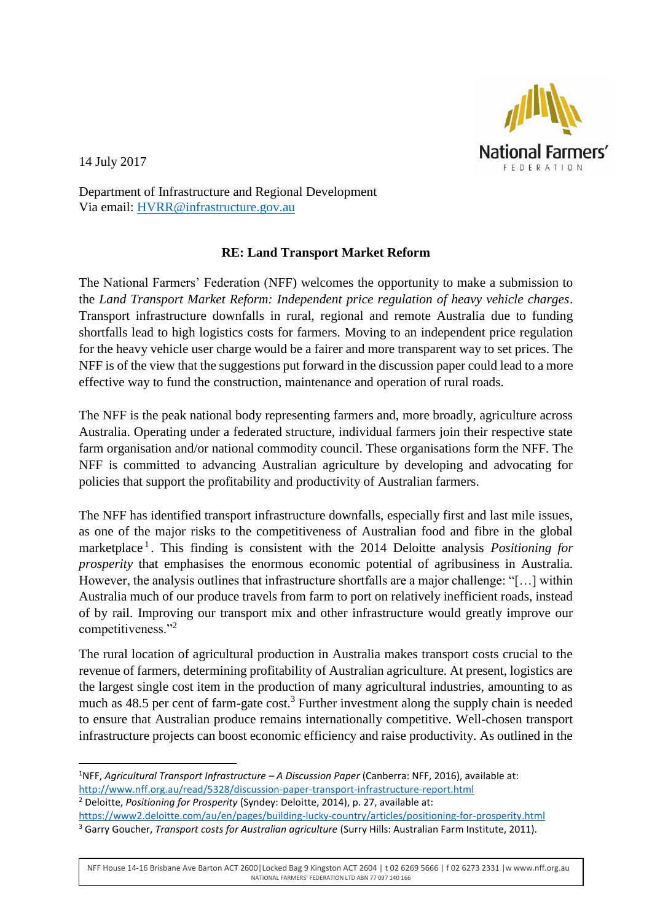

14 July 2017

**.** 

Department of Infrastructure and Regional Development Via email: [HVRR@infrastructure.gov.au](mailto:HVRR@infrastructure.gov.au)

## **RE: Land Transport Market Reform**

The National Farmers' Federation (NFF) welcomes the opportunity to make a submission to the *Land Transport Market Reform: Independent price regulation of heavy vehicle charges*. Transport infrastructure downfalls in rural, regional and remote Australia due to funding shortfalls lead to high logistics costs for farmers. Moving to an independent price regulation for the heavy vehicle user charge would be a fairer and more transparent way to set prices. The NFF is of the view that the suggestions put forward in the discussion paper could lead to a more effective way to fund the construction, maintenance and operation of rural roads.

The NFF is the peak national body representing farmers and, more broadly, agriculture across Australia. Operating under a federated structure, individual farmers join their respective state farm organisation and/or national commodity council. These organisations form the NFF. The NFF is committed to advancing Australian agriculture by developing and advocating for policies that support the profitability and productivity of Australian farmers.

The NFF has identified transport infrastructure downfalls, especially first and last mile issues, as one of the major risks to the competitiveness of Australian food and fibre in the global marketplace<sup>1</sup>. This finding is consistent with the 2014 Deloitte analysis *Positioning for prosperity* that emphasises the enormous economic potential of agribusiness in Australia. However, the analysis outlines that infrastructure shortfalls are a major challenge: "[…] within Australia much of our produce travels from farm to port on relatively inefficient roads, instead of by rail. Improving our transport mix and other infrastructure would greatly improve our competitiveness."<sup>2</sup>

The rural location of agricultural production in Australia makes transport costs crucial to the revenue of farmers, determining profitability of Australian agriculture. At present, logistics are the largest single cost item in the production of many agricultural industries, amounting to as much as  $48.5$  per cent of farm-gate cost.<sup>3</sup> Further investment along the supply chain is needed to ensure that Australian produce remains internationally competitive. Well-chosen transport infrastructure projects can boost economic efficiency and raise productivity. As outlined in the

NFF House 14-16 Brisbane Ave Barton ACT 2600|Locked Bag 9 Kingston ACT 2604 | t 02 6269 5666 | f 02 6273 2331 |w www.nff.org.au NATIONAL FARMERS' FEDERATION LTD ABN 77 097 140 166

<sup>1</sup>NFF, *Agricultural Transport Infrastructure – A Discussion Paper* (Canberra: NFF, 2016), available at: <http://www.nff.org.au/read/5328/discussion-paper-transport-infrastructure-report.html> <sup>2</sup> Deloitte, *Positioning for Prosperity* (Syndey: Deloitte, 2014), p. 27, available at: <https://www2.deloitte.com/au/en/pages/building-lucky-country/articles/positioning-for-prosperity.html>

<sup>3</sup> Garry Goucher, *Transport costs for Australian agriculture* (Surry Hills: Australian Farm Institute, 2011).